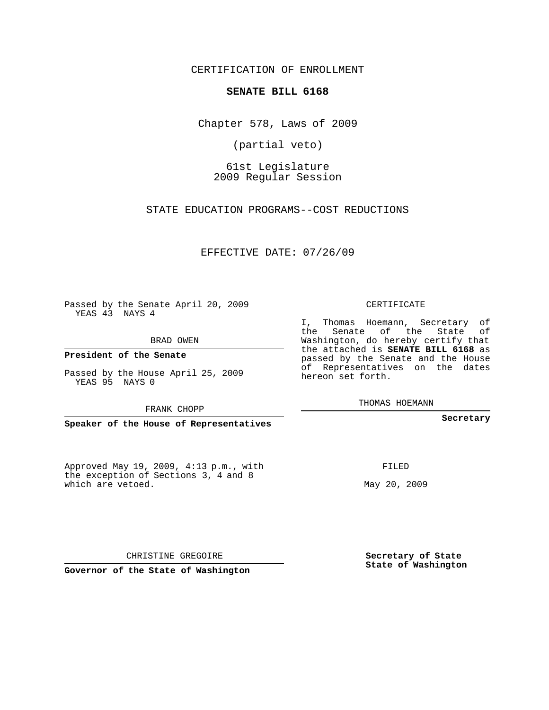CERTIFICATION OF ENROLLMENT

## **SENATE BILL 6168**

Chapter 578, Laws of 2009

(partial veto)

61st Legislature 2009 Regular Session

STATE EDUCATION PROGRAMS--COST REDUCTIONS

EFFECTIVE DATE: 07/26/09

Passed by the Senate April 20, 2009 YEAS 43 NAYS 4

BRAD OWEN

**President of the Senate**

Passed by the House April 25, 2009 YEAS 95 NAYS 0

FRANK CHOPP

**Speaker of the House of Representatives**

Approved May 19, 2009, 4:13 p.m., with the exception of Sections 3, 4 and 8 which are vetoed.

CERTIFICATE

I, Thomas Hoemann, Secretary of the Senate of the State of Washington, do hereby certify that the attached is **SENATE BILL 6168** as passed by the Senate and the House of Representatives on the dates hereon set forth.

THOMAS HOEMANN

**Secretary**

FILED

May 20, 2009

CHRISTINE GREGOIRE

**Governor of the State of Washington**

**Secretary of State State of Washington**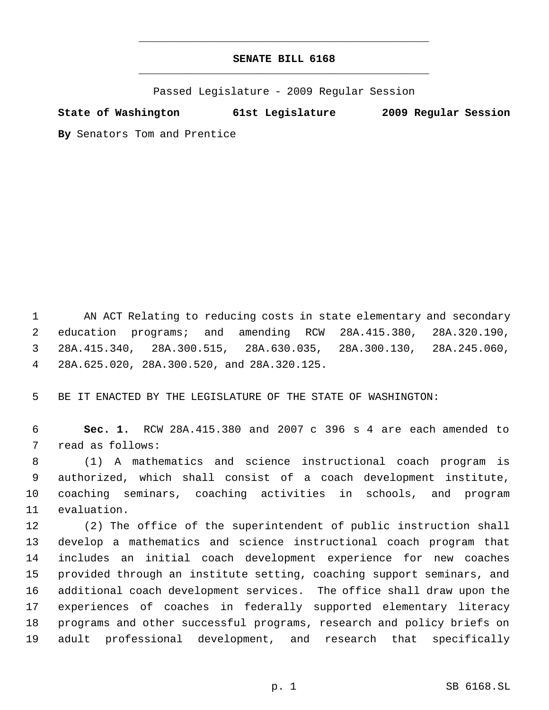## **SENATE BILL 6168** \_\_\_\_\_\_\_\_\_\_\_\_\_\_\_\_\_\_\_\_\_\_\_\_\_\_\_\_\_\_\_\_\_\_\_\_\_\_\_\_\_\_\_\_\_

\_\_\_\_\_\_\_\_\_\_\_\_\_\_\_\_\_\_\_\_\_\_\_\_\_\_\_\_\_\_\_\_\_\_\_\_\_\_\_\_\_\_\_\_\_

Passed Legislature - 2009 Regular Session

**State of Washington 61st Legislature 2009 Regular Session**

**By** Senators Tom and Prentice

 AN ACT Relating to reducing costs in state elementary and secondary education programs; and amending RCW 28A.415.380, 28A.320.190, 28A.415.340, 28A.300.515, 28A.630.035, 28A.300.130, 28A.245.060, 28A.625.020, 28A.300.520, and 28A.320.125.

BE IT ENACTED BY THE LEGISLATURE OF THE STATE OF WASHINGTON:

 **Sec. 1.** RCW 28A.415.380 and 2007 c 396 s 4 are each amended to read as follows:

 (1) A mathematics and science instructional coach program is authorized, which shall consist of a coach development institute, coaching seminars, coaching activities in schools, and program evaluation.

 (2) The office of the superintendent of public instruction shall develop a mathematics and science instructional coach program that includes an initial coach development experience for new coaches provided through an institute setting, coaching support seminars, and additional coach development services. The office shall draw upon the experiences of coaches in federally supported elementary literacy programs and other successful programs, research and policy briefs on adult professional development, and research that specifically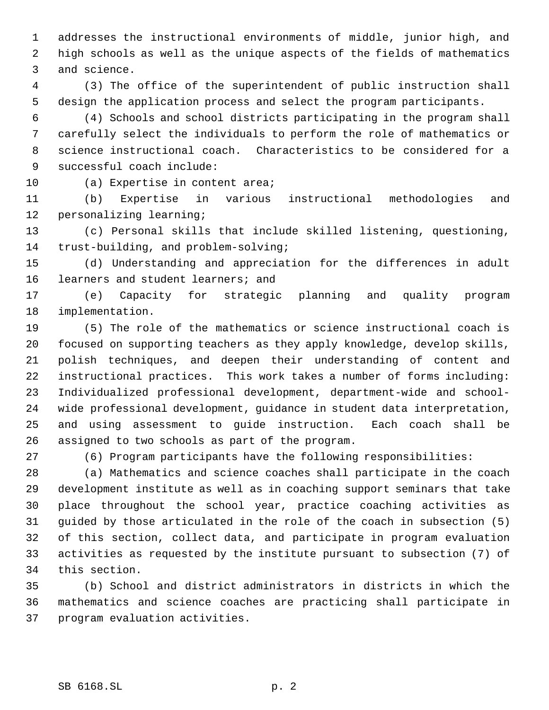addresses the instructional environments of middle, junior high, and high schools as well as the unique aspects of the fields of mathematics and science.

 (3) The office of the superintendent of public instruction shall design the application process and select the program participants.

 (4) Schools and school districts participating in the program shall carefully select the individuals to perform the role of mathematics or science instructional coach. Characteristics to be considered for a successful coach include:

10 (a) Expertise in content area;

 (b) Expertise in various instructional methodologies and personalizing learning;

 (c) Personal skills that include skilled listening, questioning, trust-building, and problem-solving;

 (d) Understanding and appreciation for the differences in adult learners and student learners; and

 (e) Capacity for strategic planning and quality program implementation.

 (5) The role of the mathematics or science instructional coach is focused on supporting teachers as they apply knowledge, develop skills, polish techniques, and deepen their understanding of content and instructional practices. This work takes a number of forms including: Individualized professional development, department-wide and school- wide professional development, guidance in student data interpretation, and using assessment to guide instruction. Each coach shall be assigned to two schools as part of the program.

(6) Program participants have the following responsibilities:

 (a) Mathematics and science coaches shall participate in the coach development institute as well as in coaching support seminars that take place throughout the school year, practice coaching activities as guided by those articulated in the role of the coach in subsection (5) of this section, collect data, and participate in program evaluation activities as requested by the institute pursuant to subsection (7) of this section.

 (b) School and district administrators in districts in which the mathematics and science coaches are practicing shall participate in program evaluation activities.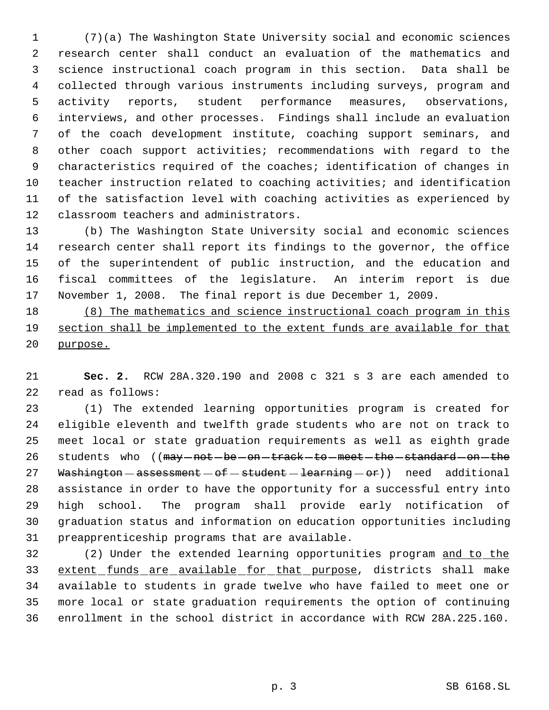(7)(a) The Washington State University social and economic sciences research center shall conduct an evaluation of the mathematics and science instructional coach program in this section. Data shall be collected through various instruments including surveys, program and activity reports, student performance measures, observations, interviews, and other processes. Findings shall include an evaluation of the coach development institute, coaching support seminars, and other coach support activities; recommendations with regard to the characteristics required of the coaches; identification of changes in teacher instruction related to coaching activities; and identification of the satisfaction level with coaching activities as experienced by classroom teachers and administrators.

 (b) The Washington State University social and economic sciences research center shall report its findings to the governor, the office of the superintendent of public instruction, and the education and fiscal committees of the legislature. An interim report is due November 1, 2008. The final report is due December 1, 2009.

 (8) The mathematics and science instructional coach program in this section shall be implemented to the extent funds are available for that purpose.

 **Sec. 2.** RCW 28A.320.190 and 2008 c 321 s 3 are each amended to read as follows:

 (1) The extended learning opportunities program is created for eligible eleventh and twelfth grade students who are not on track to meet local or state graduation requirements as well as eighth grade 26 students who ((may -not -be -on -track -to -meet -the -standard -on -the 27 Washington  $-$  assessment  $-$  of  $-$  student  $-$  learning  $-$  or)) need additional assistance in order to have the opportunity for a successful entry into high school. The program shall provide early notification of graduation status and information on education opportunities including preapprenticeship programs that are available.

 (2) Under the extended learning opportunities program and to the 33 extent funds are available for that purpose, districts shall make available to students in grade twelve who have failed to meet one or more local or state graduation requirements the option of continuing enrollment in the school district in accordance with RCW 28A.225.160.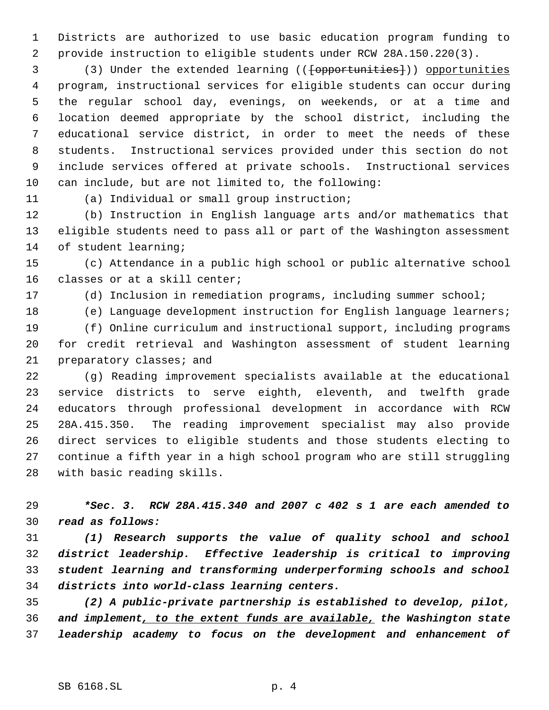Districts are authorized to use basic education program funding to provide instruction to eligible students under RCW 28A.150.220(3).

3 (3) Under the extended learning (( $\{\text{opportunities}\}\)$ ) opportunities program, instructional services for eligible students can occur during the regular school day, evenings, on weekends, or at a time and location deemed appropriate by the school district, including the educational service district, in order to meet the needs of these students. Instructional services provided under this section do not include services offered at private schools. Instructional services can include, but are not limited to, the following:

(a) Individual or small group instruction;

 (b) Instruction in English language arts and/or mathematics that eligible students need to pass all or part of the Washington assessment of student learning;

 (c) Attendance in a public high school or public alternative school classes or at a skill center;

(d) Inclusion in remediation programs, including summer school;

 (e) Language development instruction for English language learners; (f) Online curriculum and instructional support, including programs for credit retrieval and Washington assessment of student learning preparatory classes; and

 (g) Reading improvement specialists available at the educational service districts to serve eighth, eleventh, and twelfth grade educators through professional development in accordance with RCW 28A.415.350. The reading improvement specialist may also provide direct services to eligible students and those students electing to continue a fifth year in a high school program who are still struggling with basic reading skills.

 *\*Sec. 3. RCW 28A.415.340 and 2007 c 402 s 1 are each amended to read as follows:*

 *(1) Research supports the value of quality school and school district leadership. Effective leadership is critical to improving student learning and transforming underperforming schools and school districts into world-class learning centers.*

 *(2) A public-private partnership is established to develop, pilot, and implement, to the extent funds are available, the Washington state leadership academy to focus on the development and enhancement of*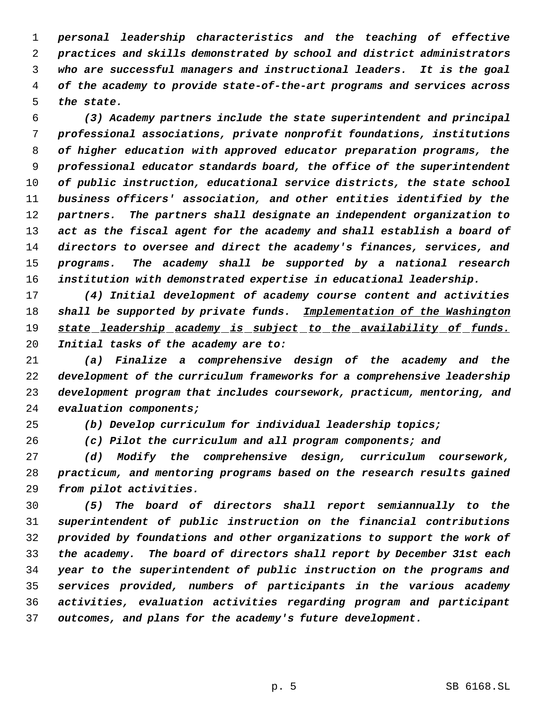*personal leadership characteristics and the teaching of effective practices and skills demonstrated by school and district administrators who are successful managers and instructional leaders. It is the goal of the academy to provide state-of-the-art programs and services across the state.*

 *(3) Academy partners include the state superintendent and principal professional associations, private nonprofit foundations, institutions of higher education with approved educator preparation programs, the professional educator standards board, the office of the superintendent of public instruction, educational service districts, the state school business officers' association, and other entities identified by the partners. The partners shall designate an independent organization to act as the fiscal agent for the academy and shall establish a board of directors to oversee and direct the academy's finances, services, and programs. The academy shall be supported by a national research institution with demonstrated expertise in educational leadership.*

 *(4) Initial development of academy course content and activities shall be supported by private funds. Implementation of the Washington state leadership academy is subject to the availability of funds. Initial tasks of the academy are to:*

 *(a) Finalize a comprehensive design of the academy and the development of the curriculum frameworks for a comprehensive leadership development program that includes coursework, practicum, mentoring, and evaluation components;*

*(b) Develop curriculum for individual leadership topics;*

*(c) Pilot the curriculum and all program components; and*

 *(d) Modify the comprehensive design, curriculum coursework, practicum, and mentoring programs based on the research results gained from pilot activities.*

 *(5) The board of directors shall report semiannually to the superintendent of public instruction on the financial contributions provided by foundations and other organizations to support the work of the academy. The board of directors shall report by December 31st each year to the superintendent of public instruction on the programs and services provided, numbers of participants in the various academy activities, evaluation activities regarding program and participant outcomes, and plans for the academy's future development.*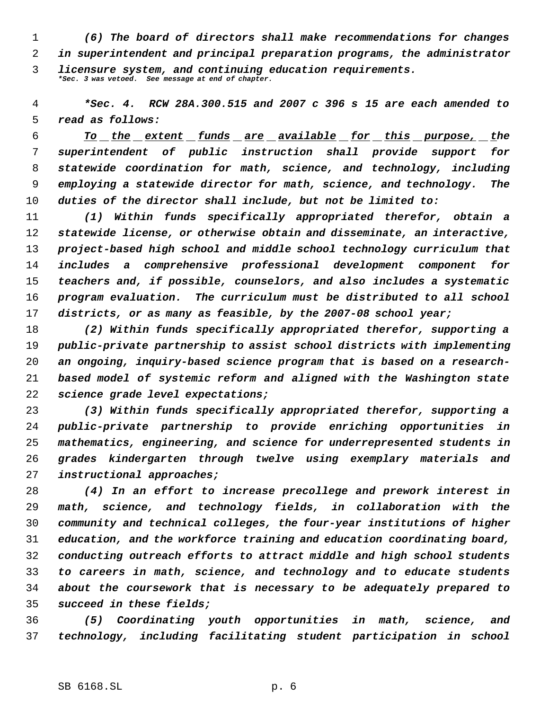*(6) The board of directors shall make recommendations for changes in superintendent and principal preparation programs, the administrator licensure system, and continuing education requirements. \*Sec. 3 was vetoed. See message at end of chapter.*

 *\*Sec. 4. RCW 28A.300.515 and 2007 c 396 s 15 are each amended to read as follows:*

 *To the extent funds are available for this purpose, the superintendent of public instruction shall provide support for statewide coordination for math, science, and technology, including employing a statewide director for math, science, and technology. The duties of the director shall include, but not be limited to:*

 *(1) Within funds specifically appropriated therefor, obtain a statewide license, or otherwise obtain and disseminate, an interactive, project-based high school and middle school technology curriculum that includes a comprehensive professional development component for teachers and, if possible, counselors, and also includes a systematic program evaluation. The curriculum must be distributed to all school districts, or as many as feasible, by the 2007-08 school year;*

 *(2) Within funds specifically appropriated therefor, supporting a public-private partnership to assist school districts with implementing an ongoing, inquiry-based science program that is based on a research- based model of systemic reform and aligned with the Washington state science grade level expectations;*

 *(3) Within funds specifically appropriated therefor, supporting a public-private partnership to provide enriching opportunities in mathematics, engineering, and science for underrepresented students in grades kindergarten through twelve using exemplary materials and instructional approaches;*

 *(4) In an effort to increase precollege and prework interest in math, science, and technology fields, in collaboration with the community and technical colleges, the four-year institutions of higher education, and the workforce training and education coordinating board, conducting outreach efforts to attract middle and high school students to careers in math, science, and technology and to educate students about the coursework that is necessary to be adequately prepared to succeed in these fields;*

 *(5) Coordinating youth opportunities in math, science, and technology, including facilitating student participation in school*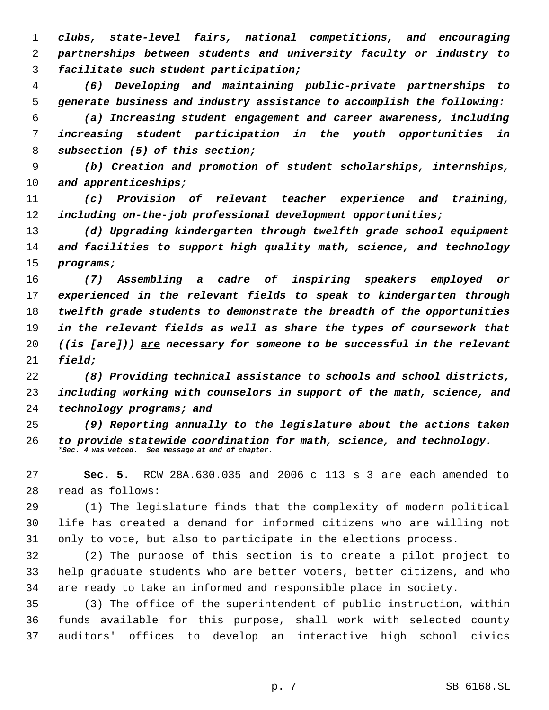*clubs, state-level fairs, national competitions, and encouraging partnerships between students and university faculty or industry to facilitate such student participation;*

 *(6) Developing and maintaining public-private partnerships to generate business and industry assistance to accomplish the following:*

 *(a) Increasing student engagement and career awareness, including increasing student participation in the youth opportunities in subsection (5) of this section;*

 *(b) Creation and promotion of student scholarships, internships, and apprenticeships;*

 *(c) Provision of relevant teacher experience and training, including on-the-job professional development opportunities;*

 *(d) Upgrading kindergarten through twelfth grade school equipment and facilities to support high quality math, science, and technology programs;*

 *(7) Assembling a cadre of inspiring speakers employed or experienced in the relevant fields to speak to kindergarten through twelfth grade students to demonstrate the breadth of the opportunities in the relevant fields as well as share the types of coursework that ((is [are])) are necessary for someone to be successful in the relevant field;*

 *(8) Providing technical assistance to schools and school districts, including working with counselors in support of the math, science, and technology programs; and*

 *(9) Reporting annually to the legislature about the actions taken to provide statewide coordination for math, science, and technology. \*Sec. 4 was vetoed. See message at end of chapter.*

 **Sec. 5.** RCW 28A.630.035 and 2006 c 113 s 3 are each amended to read as follows:

 (1) The legislature finds that the complexity of modern political life has created a demand for informed citizens who are willing not only to vote, but also to participate in the elections process.

 (2) The purpose of this section is to create a pilot project to help graduate students who are better voters, better citizens, and who are ready to take an informed and responsible place in society.

 (3) The office of the superintendent of public instruction, within 36 funds available for this purpose, shall work with selected county auditors' offices to develop an interactive high school civics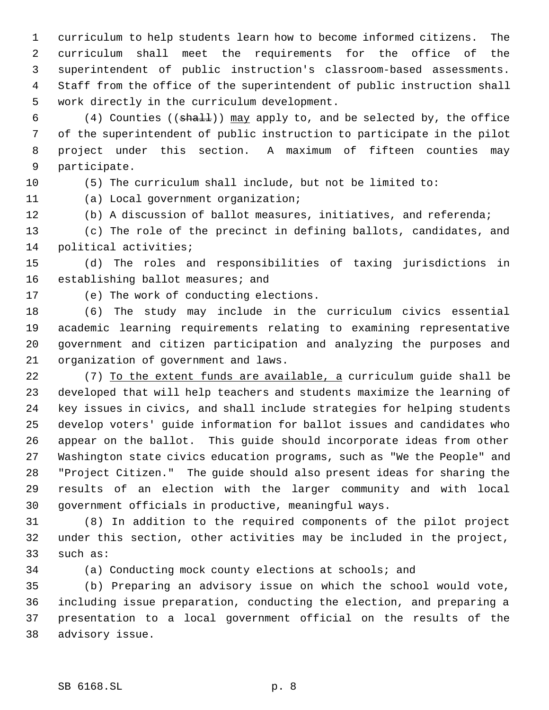curriculum to help students learn how to become informed citizens. The curriculum shall meet the requirements for the office of the superintendent of public instruction's classroom-based assessments. Staff from the office of the superintendent of public instruction shall work directly in the curriculum development.

6 (4) Counties (( $shall$ )) may apply to, and be selected by, the office of the superintendent of public instruction to participate in the pilot project under this section. A maximum of fifteen counties may participate.

(5) The curriculum shall include, but not be limited to:

(a) Local government organization;

(b) A discussion of ballot measures, initiatives, and referenda;

 (c) The role of the precinct in defining ballots, candidates, and political activities;

 (d) The roles and responsibilities of taxing jurisdictions in 16 establishing ballot measures; and

(e) The work of conducting elections.

 (6) The study may include in the curriculum civics essential academic learning requirements relating to examining representative government and citizen participation and analyzing the purposes and organization of government and laws.

22 (7) To the extent funds are available, a curriculum guide shall be developed that will help teachers and students maximize the learning of key issues in civics, and shall include strategies for helping students develop voters' guide information for ballot issues and candidates who appear on the ballot. This guide should incorporate ideas from other Washington state civics education programs, such as "We the People" and "Project Citizen." The guide should also present ideas for sharing the results of an election with the larger community and with local government officials in productive, meaningful ways.

 (8) In addition to the required components of the pilot project under this section, other activities may be included in the project, such as:

(a) Conducting mock county elections at schools; and

 (b) Preparing an advisory issue on which the school would vote, including issue preparation, conducting the election, and preparing a presentation to a local government official on the results of the advisory issue.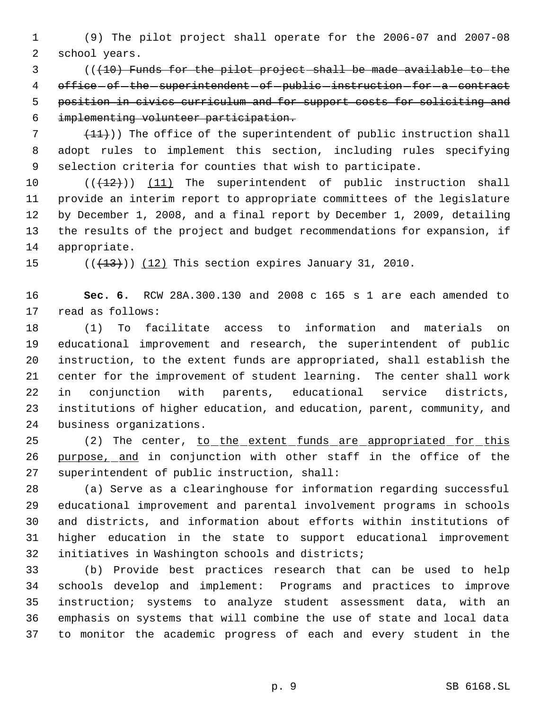(9) The pilot project shall operate for the 2006-07 and 2007-08 school years.

 (((10) Funds for the pilot project shall be made available to the 4 office of the superintendent of public instruction for a contract position in civics curriculum and for support costs for soliciting and implementing volunteer participation.

  $(11)$ ) The office of the superintendent of public instruction shall adopt rules to implement this section, including rules specifying selection criteria for counties that wish to participate.

 $((+12))$  (11) The superintendent of public instruction shall provide an interim report to appropriate committees of the legislature by December 1, 2008, and a final report by December 1, 2009, detailing the results of the project and budget recommendations for expansion, if appropriate.

15  $((+13))$   $(12)$  This section expires January 31, 2010.

 **Sec. 6.** RCW 28A.300.130 and 2008 c 165 s 1 are each amended to read as follows:

 (1) To facilitate access to information and materials on educational improvement and research, the superintendent of public instruction, to the extent funds are appropriated, shall establish the center for the improvement of student learning. The center shall work in conjunction with parents, educational service districts, institutions of higher education, and education, parent, community, and business organizations.

25 (2) The center, to the extent funds are appropriated for this 26 purpose, and in conjunction with other staff in the office of the superintendent of public instruction, shall:

 (a) Serve as a clearinghouse for information regarding successful educational improvement and parental involvement programs in schools and districts, and information about efforts within institutions of higher education in the state to support educational improvement initiatives in Washington schools and districts;

 (b) Provide best practices research that can be used to help schools develop and implement: Programs and practices to improve instruction; systems to analyze student assessment data, with an emphasis on systems that will combine the use of state and local data to monitor the academic progress of each and every student in the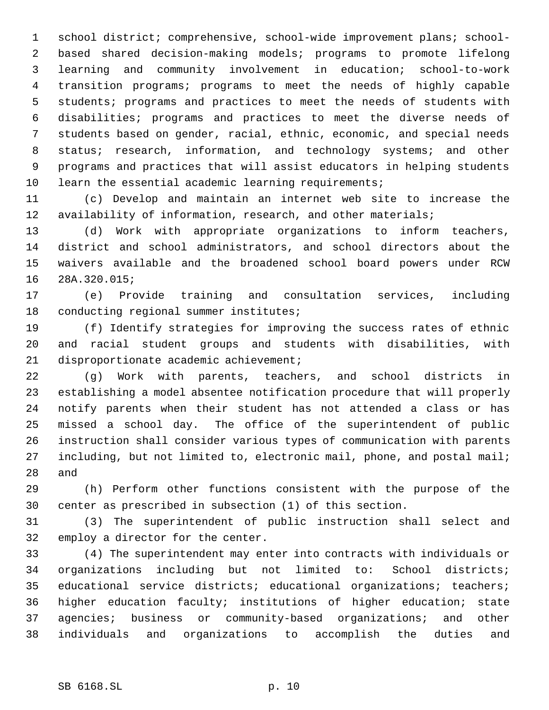school district; comprehensive, school-wide improvement plans; school- based shared decision-making models; programs to promote lifelong learning and community involvement in education; school-to-work transition programs; programs to meet the needs of highly capable students; programs and practices to meet the needs of students with disabilities; programs and practices to meet the diverse needs of students based on gender, racial, ethnic, economic, and special needs 8 status; research, information, and technology systems; and other programs and practices that will assist educators in helping students learn the essential academic learning requirements;

 (c) Develop and maintain an internet web site to increase the 12 availability of information, research, and other materials;

 (d) Work with appropriate organizations to inform teachers, district and school administrators, and school directors about the waivers available and the broadened school board powers under RCW 28A.320.015;

 (e) Provide training and consultation services, including conducting regional summer institutes;

 (f) Identify strategies for improving the success rates of ethnic and racial student groups and students with disabilities, with disproportionate academic achievement;

 (g) Work with parents, teachers, and school districts in establishing a model absentee notification procedure that will properly notify parents when their student has not attended a class or has missed a school day. The office of the superintendent of public instruction shall consider various types of communication with parents including, but not limited to, electronic mail, phone, and postal mail; and

 (h) Perform other functions consistent with the purpose of the center as prescribed in subsection (1) of this section.

 (3) The superintendent of public instruction shall select and employ a director for the center.

 (4) The superintendent may enter into contracts with individuals or organizations including but not limited to: School districts; educational service districts; educational organizations; teachers; higher education faculty; institutions of higher education; state agencies; business or community-based organizations; and other individuals and organizations to accomplish the duties and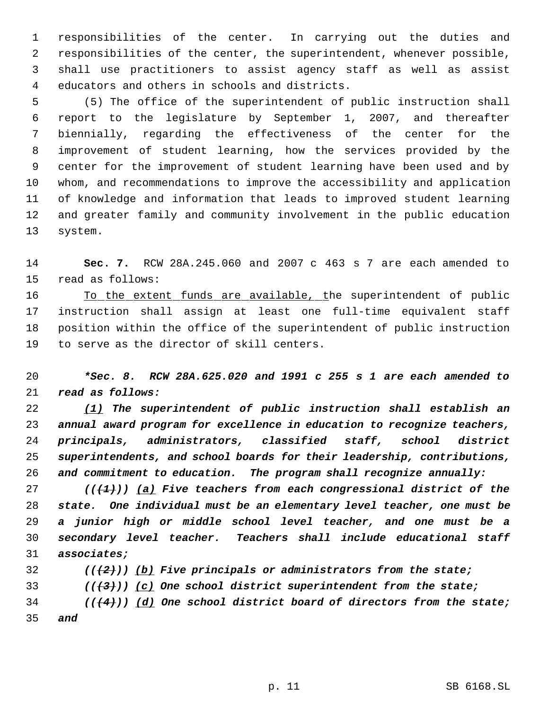responsibilities of the center. In carrying out the duties and responsibilities of the center, the superintendent, whenever possible, shall use practitioners to assist agency staff as well as assist educators and others in schools and districts.

 (5) The office of the superintendent of public instruction shall report to the legislature by September 1, 2007, and thereafter biennially, regarding the effectiveness of the center for the improvement of student learning, how the services provided by the center for the improvement of student learning have been used and by whom, and recommendations to improve the accessibility and application of knowledge and information that leads to improved student learning and greater family and community involvement in the public education system.

 **Sec. 7.** RCW 28A.245.060 and 2007 c 463 s 7 are each amended to read as follows:

16 To the extent funds are available, the superintendent of public instruction shall assign at least one full-time equivalent staff position within the office of the superintendent of public instruction to serve as the director of skill centers.

 *\*Sec. 8. RCW 28A.625.020 and 1991 c 255 s 1 are each amended to read as follows:*

 *(1) The superintendent of public instruction shall establish an annual award program for excellence in education to recognize teachers, principals, administrators, classified staff, school district superintendents, and school boards for their leadership, contributions, and commitment to education. The program shall recognize annually:*

 *(((1))) (a) Five teachers from each congressional district of the state. One individual must be an elementary level teacher, one must be a junior high or middle school level teacher, and one must be a secondary level teacher. Teachers shall include educational staff associates;*

*(((2))) (b) Five principals or administrators from the state;*

*(((3))) (c) One school district superintendent from the state;*

 *(((4))) (d) One school district board of directors from the state; and*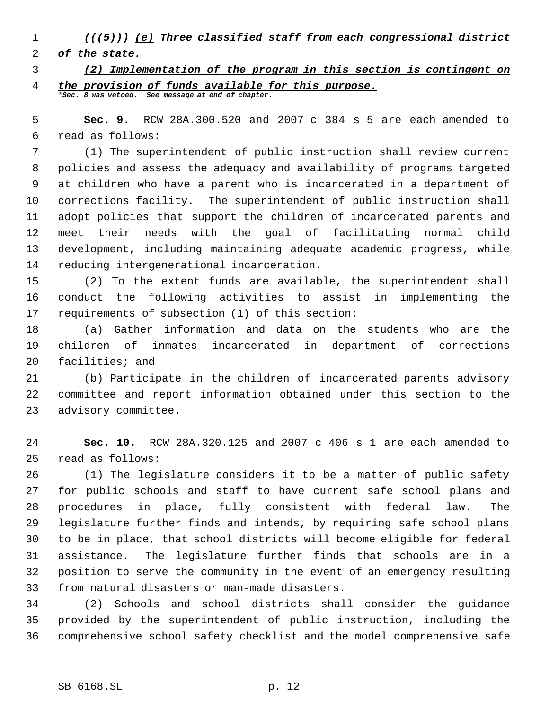- *(((5))) (e) Three classified staff from each congressional district*
- *of the state.*
- *(2) Implementation of the program in this section is contingent on the provision of funds available for this purpose. \*Sec. 8 was vetoed. See message at end of chapter.*

 **Sec. 9.** RCW 28A.300.520 and 2007 c 384 s 5 are each amended to read as follows:

 (1) The superintendent of public instruction shall review current policies and assess the adequacy and availability of programs targeted at children who have a parent who is incarcerated in a department of corrections facility. The superintendent of public instruction shall adopt policies that support the children of incarcerated parents and meet their needs with the goal of facilitating normal child development, including maintaining adequate academic progress, while reducing intergenerational incarceration.

 (2) To the extent funds are available, the superintendent shall conduct the following activities to assist in implementing the requirements of subsection (1) of this section:

 (a) Gather information and data on the students who are the children of inmates incarcerated in department of corrections facilities; and

 (b) Participate in the children of incarcerated parents advisory committee and report information obtained under this section to the advisory committee.

 **Sec. 10.** RCW 28A.320.125 and 2007 c 406 s 1 are each amended to read as follows:

 (1) The legislature considers it to be a matter of public safety for public schools and staff to have current safe school plans and procedures in place, fully consistent with federal law. The legislature further finds and intends, by requiring safe school plans to be in place, that school districts will become eligible for federal assistance. The legislature further finds that schools are in a position to serve the community in the event of an emergency resulting from natural disasters or man-made disasters.

 (2) Schools and school districts shall consider the guidance provided by the superintendent of public instruction, including the comprehensive school safety checklist and the model comprehensive safe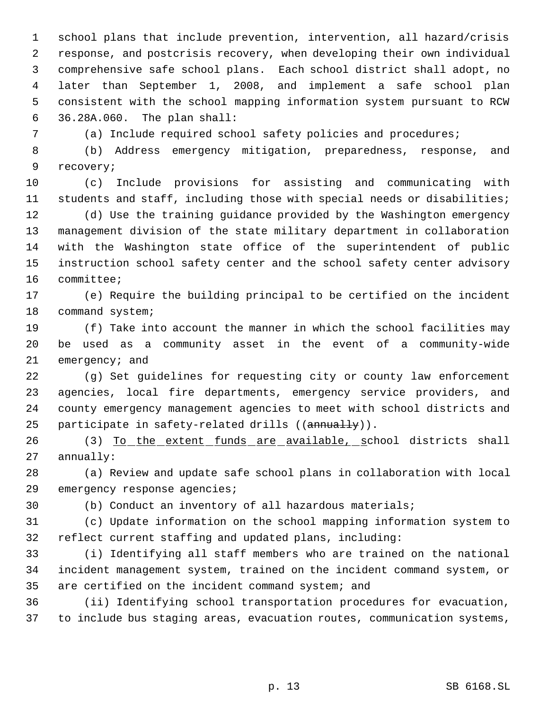school plans that include prevention, intervention, all hazard/crisis response, and postcrisis recovery, when developing their own individual comprehensive safe school plans. Each school district shall adopt, no later than September 1, 2008, and implement a safe school plan consistent with the school mapping information system pursuant to RCW 36.28A.060. The plan shall:

(a) Include required school safety policies and procedures;

 (b) Address emergency mitigation, preparedness, response, and recovery;

 (c) Include provisions for assisting and communicating with students and staff, including those with special needs or disabilities;

 (d) Use the training guidance provided by the Washington emergency management division of the state military department in collaboration with the Washington state office of the superintendent of public instruction school safety center and the school safety center advisory committee;

 (e) Require the building principal to be certified on the incident 18 command system;

 (f) Take into account the manner in which the school facilities may be used as a community asset in the event of a community-wide emergency; and

 (g) Set guidelines for requesting city or county law enforcement agencies, local fire departments, emergency service providers, and county emergency management agencies to meet with school districts and 25 participate in safety-related drills ((annually)).

26 (3) To the extent funds are available, school districts shall annually:

 (a) Review and update safe school plans in collaboration with local 29 emergency response agencies;

(b) Conduct an inventory of all hazardous materials;

 (c) Update information on the school mapping information system to reflect current staffing and updated plans, including:

 (i) Identifying all staff members who are trained on the national incident management system, trained on the incident command system, or are certified on the incident command system; and

 (ii) Identifying school transportation procedures for evacuation, to include bus staging areas, evacuation routes, communication systems,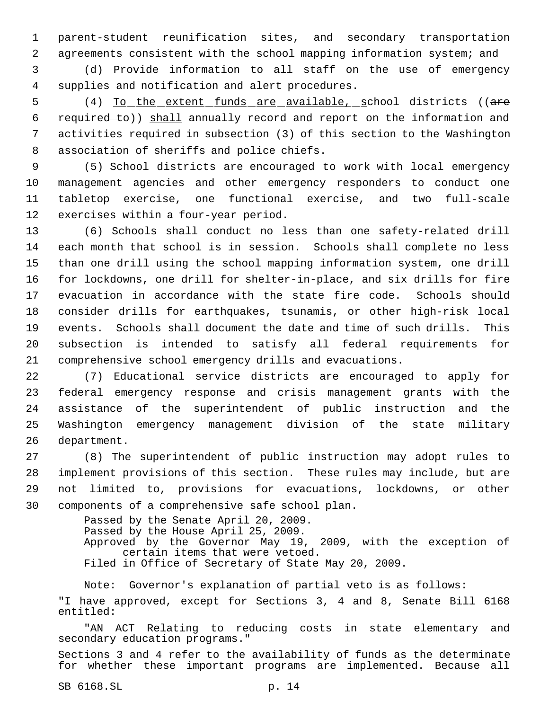parent-student reunification sites, and secondary transportation agreements consistent with the school mapping information system; and

 (d) Provide information to all staff on the use of emergency supplies and notification and alert procedures.

5 (4) To the extent funds are available, school districts ((are required to)) shall annually record and report on the information and activities required in subsection (3) of this section to the Washington association of sheriffs and police chiefs.

 (5) School districts are encouraged to work with local emergency management agencies and other emergency responders to conduct one tabletop exercise, one functional exercise, and two full-scale exercises within a four-year period.

 (6) Schools shall conduct no less than one safety-related drill each month that school is in session. Schools shall complete no less than one drill using the school mapping information system, one drill for lockdowns, one drill for shelter-in-place, and six drills for fire evacuation in accordance with the state fire code. Schools should consider drills for earthquakes, tsunamis, or other high-risk local events. Schools shall document the date and time of such drills. This subsection is intended to satisfy all federal requirements for comprehensive school emergency drills and evacuations.

 (7) Educational service districts are encouraged to apply for federal emergency response and crisis management grants with the assistance of the superintendent of public instruction and the Washington emergency management division of the state military department.

 (8) The superintendent of public instruction may adopt rules to implement provisions of this section. These rules may include, but are not limited to, provisions for evacuations, lockdowns, or other components of a comprehensive safe school plan.

> Passed by the Senate April 20, 2009. Passed by the House April 25, 2009. Approved by the Governor May 19, 2009, with the exception of certain items that were vetoed. Filed in Office of Secretary of State May 20, 2009.

Note: Governor's explanation of partial veto is as follows: "I have approved, except for Sections 3, 4 and 8, Senate Bill 6168 entitled:

"AN ACT Relating to reducing costs in state elementary and secondary education programs."

Sections 3 and 4 refer to the availability of funds as the determinate for whether these important programs are implemented. Because all